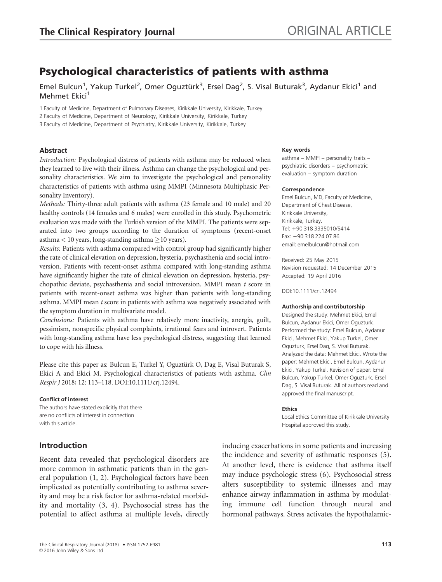# Psychological characteristics of patients with asthma

Emel Bulcun<sup>1</sup>, Yakup Turkel<sup>2</sup>, Omer Oguztürk<sup>3</sup>, Ersel Dag<sup>2</sup>, S. Visal Buturak<sup>3</sup>, Aydanur Ekici<sup>1</sup> and Mehmet Ekici<sup>1</sup>

1 Faculty of Medicine, Department of Pulmonary Diseases, Kirikkale University, Kirikkale, Turkey

2 Faculty of Medicine, Department of Neurology, Kirikkale University, Kirikkale, Turkey

3 Faculty of Medicine, Department of Psychiatry, Kirikkale University, Kirikkale, Turkey

# Abstract

Introduction: Psychological distress of patients with asthma may be reduced when they learned to live with their illness. Asthma can change the psychological and personality characteristics. We aim to investigate the psychological and personality characteristics of patients with asthma using MMPI (Minnesota Multiphasic Personality Inventory).

Methods: Thirty-three adult patients with asthma (23 female and 10 male) and 20 healthy controls (14 females and 6 males) were enrolled in this study. Psychometric evaluation was made with the Turkish version of the MMPI. The patients were separated into two groups according to the duration of symptoms (recent-onset  $a$ sthma  $<$  10 years, long-standing asthma  $\geq$  10 years).

Results: Patients with asthma compared with control group had significantly higher the rate of clinical elevation on depression, hysteria, psychasthenia and social introversion. Patients with recent-onset asthma compared with long-standing asthma have significantly higher the rate of clinical elevation on depression, hysteria, psychopathic deviate, psychasthenia and social introversion. MMPI mean t score in patients with recent-onset asthma was higher than patients with long-standing asthma. MMPI mean t score in patients with asthma was negatively associated with the symptom duration in multivariate model.

Conclusions: Patients with asthma have relatively more inactivity, anergia, guilt, pessimism, nonspecific physical complaints, irrational fears and introvert. Patients with long-standing asthma have less psychological distress, suggesting that learned to cope with his illness.

Please cite this paper as: Bulcun E, Turkel Y, Oguztürk O, Dag E, Visal Buturak S, Ekici A and Ekici M. Psychological characteristics of patients with asthma. Clin Respir J 2018; 12: 113–118. DOI:10.1111/crj.12494.

#### Conflict of interest

The authors have stated explicitly that there are no conflicts of interest in connection with this article.

# Introduction

Recent data revealed that psychological disorders are more common in asthmatic patients than in the general population (1, 2). Psychological factors have been implicated as potentially contributing to asthma severity and may be a risk factor for asthma-related morbidity and mortality (3, 4). Psychosocial stress has the potential to affect asthma at multiple levels, directly

#### Key words

asthma – MMPI – personality traits – psychiatric disorders – psychometric evaluation – symptom duration

#### Correspondence

Emel Bulcun, MD, Faculty of Medicine, Department of Chest Disease, Kirikkale University, Kirikkale, Turkey. Tel: +90 318 3335010/5414 Fax: +90 318 224 07 86 email: emelbulcun@hotmail.com

Received: 25 May 2015 Revision requested: 14 December 2015 Accepted: 19 April 2016

DOI:10.1111/crj.12494

#### Authorship and contributorship

Designed the study: Mehmet Ekici, Emel Bulcun, Aydanur Ekici, Omer Oguzturk. Performed the study: Emel Bulcun, Aydanur Ekici, Mehmet Ekici, Yakup Turkel, Omer Oguzturk, Ersel Dag, S. Visal Buturak. Analyzed the data: Mehmet Ekici. Wrote the paper: Mehmet Ekici, Emel Bulcun, Aydanur Ekici, Yakup Turkel. Revision of paper: Emel Bulcun, Yakup Turkel, Omer Oguzturk, Ersel Dag, S. Visal Buturak. All of authors read and approved the final manuscript.

#### **Ethics**

Local Ethics Committee of Kirikkale University Hospital approved this study.

inducing exacerbations in some patients and increasing the incidence and severity of asthmatic responses (5). At another level, there is evidence that asthma itself may induce psychologic stress (6). Psychosocial stress alters susceptibility to systemic illnesses and may enhance airway inflammation in asthma by modulating immune cell function through neural and hormonal pathways. Stress activates the hypothalamic-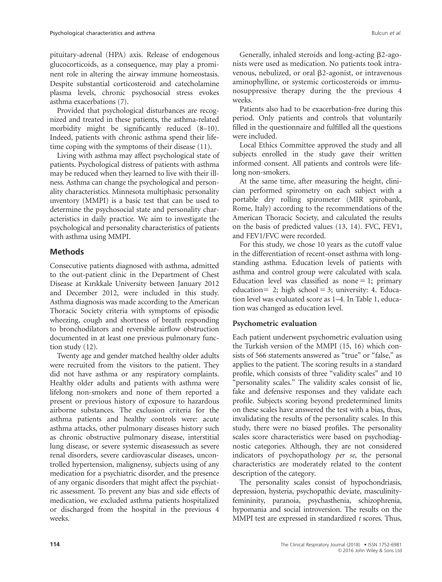pituitary-adrenal (HPA) axis. Release of endogenous glucocorticoids, as a consequence, may play a prominent role in altering the airway immune homeostasis. Despite substantial corticosteroid and catecholamine plasma levels, chronic psychosocial stress evokes asthma exacerbations (7).

Provided that psychological disturbances are recognized and treated in these patients, the asthma-related morbidity might be significantly reduced (8–10). Indeed, patients with chronic asthma spend their lifetime coping with the symptoms of their disease (11).

Living with asthma may affect psychological state of patients. Psychological distress of patients with asthma may be reduced when they learned to live with their illness. Asthma can change the psychological and personality characteristics. Minnesota multiphasic personality ınventory (MMPI) is a basic test that can be used to determine the psychosocial state and personality characteristics in daily practice. We aim to investigate the psychological and personality characteristics of patients with asthma using MMPI.

# Methods

Consecutive patients diagnosed with asthma, admitted to the out-patient clinic in the Department of Chest Disease at Kırıkkale University between January 2012 and December 2012, were included in this study. Asthma diagnosis was made according to the American Thoracic Society criteria with symptoms of episodic wheezing, cough and shortness of breath responding to bronchodilators and reversible airflow obstruction documented in at least one previous pulmonary function study (12).

Twenty age and gender matched healthy older adults were recruited from the visitors to the patient. They did not have asthma or any respiratory complaints. Healthy older adults and patients with asthma were lifelong non-smokers and none of them reported a present or previous history of exposure to hazardous airborne substances. The exclusion criteria for the asthma patients and healthy controls were: acute asthma attacks, other pulmonary diseases history such as chronic obstructive pulmonary disease, interstitial lung disease, or severe systemic diseasessuch as severe renal disorders, severe cardiovascular diseases, uncontrolled hypertension, malignensy, subjects using of any medication for a psychiatric disorder, and the presence of any organic disorders that might affect the psychiatric assessment. To prevent any bias and side effects of medication, we excluded asthma patients hospitalized or discharged from the hospital in the previous 4 weeks.

Generally, inhaled steroids and long-acting  $\beta$ 2-agonists were used as medication. No patients took intravenous, nebulized, or oral  $\beta$ 2-agonist, or intravenous aminophylline, or systemic corticosteroids or immunosuppressive therapy during the the previous 4 weeks.

Patients also had to be exacerbation-free during this period. Only patients and controls that voluntarily filled in the questionnaire and fulfilled all the questions were included.

Local Ethics Committee approved the study and all subjects enrolled in the study gave their written informed consent. All patients and controls were lifelong non-smokers.

At the same time, after measuring the height, clinician performed spirometry on each subject with a portable dry rolling spirometer (MIR spirobank, Rome, Italy) according to the recommendations of the American Thoracic Society, and calculated the results on the basis of predicted values (13, 14). FVC, FEV1, and FEV1/FVC were recorded.

For this study, we chose 10 years as the cutoff value in the differentiation of recent-onset asthma with longstanding asthma. Education levels of patients with asthma and control group were calculated with scala. Education level was classified as none  $= 1$ ; primary education= 2; high school = 3; university: 4. Education level was evaluated score as 1–4. In Table 1, education was changed as education level.

# Psychometric evaluation

Each patient underwent psychometric evaluation using the Turkish version of the MMPI (15, 16) which consists of 566 statements answered as "true" or "false," as applies to the patient. The scoring results in a standard profile, which consists of three "validity scales" and 10 "personality scales." The validity scales consist of lie, fake and defensive responses and they validate each profile. Subjects scoring beyond predetermined limits on these scales have answered the test with a bias, thus, invalidating the results of the personality scales. In this study, there were no biased profiles. The personality scales score characteristics were based on psychodiagnostic categories. Although, they are not considered indicators of psychopathology per se, the personal characteristics are moderately related to the content description of the category.

The personality scales consist of hypochondriasis, depression, hysteria, psychopathic deviate, masculinityfemininity, paranoia, psychasthenia, schizophrenia, hypomania and social introversion. The results on the MMPI test are expressed in standardized  $t$  scores. Thus,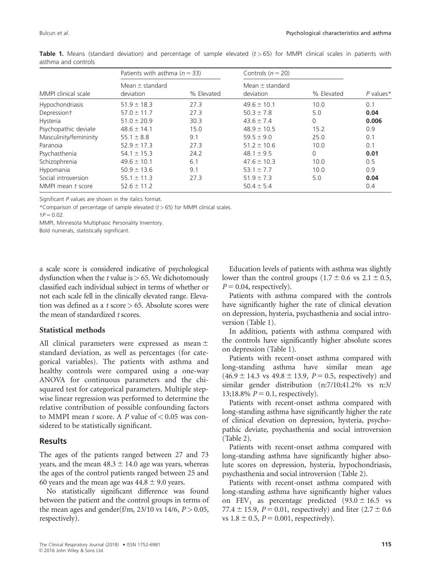| MMPI clinical scale     | Patients with asthma ( $n = 33$ ) |            | Controls $(n = 20)$              |            |             |
|-------------------------|-----------------------------------|------------|----------------------------------|------------|-------------|
|                         | Mean $\pm$ standard<br>deviation  | % Elevated | Mean $\pm$ standard<br>deviation | % Elevated | $P$ values* |
| Hypochondriasis         | $51.9 \pm 18.3$                   | 27.3       | $49.6 \pm 10.1$                  | 10.0       | 0.1         |
| Depression <sup>+</sup> | $57.0 \pm 11.7$                   | 27.3       | $50.3 \pm 7.8$                   | 5.0        | 0.04        |
| Hysteria                | $51.0 \pm 20.9$                   | 30.3       | $43.6 \pm 7.4$                   | 0          | 0.006       |
| Psychopathic deviate    | $48.6 \pm 14.1$                   | 15.0       | $48.9 \pm 10.5$                  | 15.2       | 0.9         |
| Masculinity/femininity  | 55.1 $\pm$ 8.8                    | 9.1        | $59.5 \pm 9.0$                   | 25.0       | 0.1         |
| Paranoia                | $52.9 \pm 17.3$                   | 27.3       | $51.2 \pm 10.6$                  | 10.0       | 0.1         |
| Psychasthenia           | $54.1 \pm 15.3$                   | 24.2       | $48.1 \pm 9.5$                   | 0          | 0.01        |
| Schizophrenia           | $49.6 \pm 10.1$                   | 6.1        | $47.6 \pm 10.3$                  | 10.0       | 0.5         |
| Hypomania               | $50.9 \pm 13.6$                   | 9.1        | 53.1 $\pm$ 7.7                   | 10.0       | 0.9         |
| Social introversion     | $55.1 \pm 11.3$                   | 27.3       | $51.9 \pm 7.3$                   | 5.0        | 0.04        |
| MMPI mean t score       | $52.6 \pm 11.2$                   |            | $50.4 \pm 5.4$                   |            | 0.4         |

**Table 1.** Means (standard deviation) and percentage of sample elevated  $(t > 65)$  for MMPI clinical scales in patients with asthma and controls

Significant P values are shown in the italics format.

\*Comparison of percentage of sample elevated ( $t > 65$ ) for MMPI clinical scales.  $+P = 0.02$ 

MMPI, Minnesota Multiphasic Personality Inventory.

Bold numerals, statistically significant.

a scale score is considered indicative of psychological dysfunction when the  $t$  value is  $> 65$ . We dichotomously classified each individual subject in terms of whether or not each scale fell in the clinically elevated range. Elevation was defined as a t score  $> 65$ . Absolute scores were the mean of standardized *t* scores.

# Statistical methods

All clinical parameters were expressed as mean  $\pm$ standard deviation, as well as percentages (for categorical variables). The patients with asthma and healthy controls were compared using a one-way ANOVA for continuous parameters and the chisquared test for categorical parameters. Multiple stepwise linear regression was performed to determine the relative contribution of possible confounding factors to MMPI mean t score. A P value of  $< 0.05$  was considered to be statistically significant.

# **Results**

The ages of the patients ranged between 27 and 73 years, and the mean  $48.3 \pm 14.0$  age was years, whereas the ages of the control patients ranged between 25 and 60 years and the mean age was  $44.8 \pm 9.0$  years.

No statistically significant difference was found between the patient and the control groups in terms of the mean ages and gender(f/m,  $23/10$  vs  $14/6$ ,  $P > 0.05$ , respectively).

Education levels of patients with asthma was slightly lower than the control groups  $(1.7 \pm 0.6 \text{ vs } 2.1 \pm 0.5,$  $P = 0.04$ , respectively).

Patients with asthma compared with the controls have significantly higher the rate of clinical elevation on depression, hysteria, psychasthenia and social introversion (Table 1).

In addition, patients with asthma compared with the controls have significantly higher absolute scores on depression (Table 1).

Patients with recent-onset asthma compared with long-standing asthma have similar mean age  $(46.9 \pm 14.3 \text{ vs } 49.8 \pm 13.9, P = 0.5, respectively)$  and similar gender distribution (n:7/10;41.2% vs n:3/ 13;18.8%  $P = 0.1$ , respectively).

Patients with recent-onset asthma compared with long-standing asthma have significantly higher the rate of clinical elevation on depression, hysteria, psychopathic deviate, psychasthenia and social introversion (Table 2).

Patients with recent-onset asthma compared with long-standing asthma have significantly higher absolute scores on depression, hysteria, hypochondriasis, psychasthenia and social introversion (Table 2).

Patients with recent-onset asthma compared with long-standing asthma have significantly higher values on FEV<sub>1</sub> as percentage predicted  $(93.0 \pm 16.5 \text{ vs }$ 77.4  $\pm$  15.9, P = 0.01, respectively) and liter (2.7  $\pm$  0.6 vs  $1.8 \pm 0.5$ ,  $P = 0.001$ , respectively).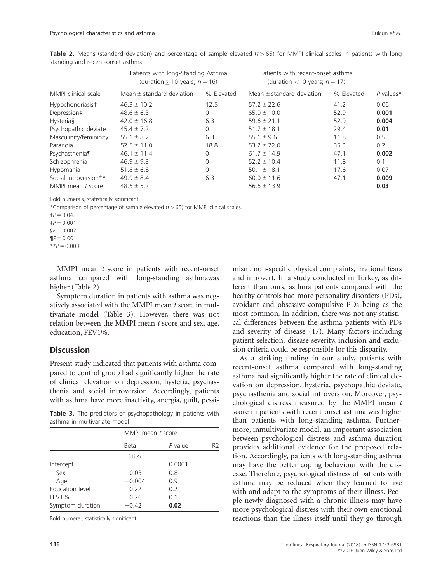| MMPI clinical scale    | Patients with long-Standing Asthma<br>(duration $>$ 10 years; $n = 16$ ) |            | Patients with recent-onset asthma<br>(duration <10 years; $n = 17$ ) |            |             |
|------------------------|--------------------------------------------------------------------------|------------|----------------------------------------------------------------------|------------|-------------|
|                        | Mean $\pm$ standard deviation                                            | % Elevated | Mean $\pm$ standard deviation                                        | % Elevated | $P$ values* |
| Hypochondriasist       | $46.3 \pm 10.2$                                                          | 12.5       | $57.2 \pm 22.6$                                                      | 41.2       | 0.06        |
| Depression#            | $48.6 \pm 6.3$                                                           | 0          | $65.0 \pm 10.0$                                                      | 52.9       | 0.001       |
| Hysteria§              | $42.0 \pm 16.8$                                                          | 6.3        | $59.6 \pm 21.1$                                                      | 52.9       | 0.004       |
| Psychopathic deviate   | $45.4 \pm 7.2$                                                           | 0          | $51.7 \pm 18.1$                                                      | 29.4       | 0.01        |
| Masculinity/femininity | $55.1 \pm 8.2$                                                           | 6.3        | $55.1 \pm 9.6$                                                       | 11.8       | 0.5         |
| Paranoia               | $52.5 \pm 11.0$                                                          | 18.8       | $53.2 \pm 22.0$                                                      | 35.3       | 0.2         |
| Psychasthenia¶         | $46.1 \pm 11.4$                                                          | 0          | $61.7 \pm 14.9$                                                      | 47.1       | 0.002       |
| Schizophrenia          | $46.9 \pm 9.3$                                                           | 0          | $52.2 \pm 10.4$                                                      | 11.8       | 0.1         |
| Hypomania              | $51.8 \pm 6.8$                                                           | $\Omega$   | $50.1 \pm 18.1$                                                      | 17.6       | 0.07        |
| Social introversion**  | $49.9 \pm 8.4$                                                           | 6.3        | $60.0 \pm 11.6$                                                      | 47.1       | 0.009       |
| MMPI mean t score      | $48.5 \pm 5.2$                                                           |            | $56.6 \pm 13.9$                                                      |            | 0.03        |

**Table 2.** Means (standard deviation) and percentage of sample elevated  $(t > 65)$  for MMPI clinical scales in patients with long standing and recent-onset asthma

Bold numerals, statistically significant.

\*Comparison of percentage of sample elevated  $(t > 65)$  for MMPI clinical scales.

 $*$ *\**  $P = 0.003$ .

MMPI mean t score in patients with recent-onset asthma compared with long-standing asthmawas higher (Table 2).

Symptom duration in patients with asthma was negatively associated with the MMPI mean t score in multivariate model (Table 3). However, there was not relation between the MMPI mean t score and sex, age, education, FEV1%.

# **Discussion**

Present study indicated that patients with asthma compared to control group had significantly higher the rate of clinical elevation on depression, hysteria, psychasthenia and social introversion. Accordingly, patients with asthma have more inactivity, anergia, guilt, pessi-

Table 3. The predictors of psychopathology in patients with asthma in multivariate model

|                  | MMPI mean t score |           |    |  |
|------------------|-------------------|-----------|----|--|
|                  | Beta              | $P$ value | R2 |  |
|                  | 18%               |           |    |  |
| Intercept        |                   | 0.0001    |    |  |
| Sex              | $-0.03$           | 0.8       |    |  |
| Age              | $-0.004$          | 0.9       |    |  |
| Education level  | 0.22              | 0.2       |    |  |
| FEV1%            | 0.26              | 0.1       |    |  |
| Symptom duration | $-0.42$           | 0.02      |    |  |
|                  |                   |           |    |  |

Bold numeral, statistically significant.

mism, non-specific physical complaints, irrational fears and introvert. In a study conducted in Turkey, as different than ours, asthma patients compared with the healthy controls had more personality disorders (PDs), avoidant and obsessive-compulsive PDs being as the most common. In addition, there was not any statistical differences between the asthma patients with PDs and severity of disease (17). Many factors including patient selection, disease severity, inclusion and exclusion criteria could be responsible for this disparity.

As a striking finding in our study, patients with recent-onset asthma compared with long-standing asthma had significantly higher the rate of clinical elevation on depression, hysteria, psychopathic deviate, psychasthenia and social introversion. Moreover, psychological distress measured by the MMPI mean t score in patients with recent-onset asthma was higher than patients with long-standing asthma. Furthermore, inmultivariate model, an important association between psychological distress and asthma duration provides additional evidence for the proposed relation. Accordingly, patients with long-standing asthma may have the better coping behaviour with the disease. Therefore, psychological distress of patients with asthma may be reduced when they learned to live with and adapt to the symptoms of their illness. People newly diagnosed with a chronic illness may have more psychological distress with their own emotional reactions than the illness itself until they go through

 $\uparrow P = 0.04$ .  $\ddagger P = 0.001$ .

 $\S P = 0.002$ .  $\P P = 0.001$ .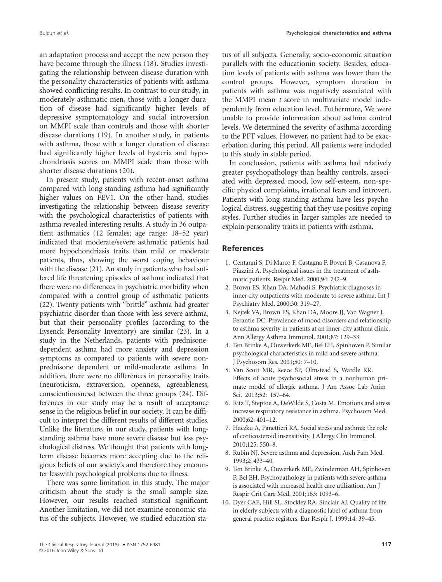an adaptation process and accept the new person they have become through the illness (18). Studies investigating the relationship between disease duration with the personality characteristics of patients with asthma showed conflicting results. In contrast to our study, in moderately asthmatic men, those with a longer duration of disease had significantly higher levels of depressive symptomatology and social introversion on MMPI scale than controls and those with shorter disease durations (19). In another study, in patients with asthma, those with a longer duration of disease had significantly higher levels of hysteria and hypochondriasis scores on MMPI scale than those with shorter disease durations (20).

In present study, patients with recent-onset asthma compared with long-standing asthma had significantly higher values on FEV1. On the other hand, studies investigating the relationship between disease severity with the psychological characteristics of patients with asthma revealed interesting results. A study in 36 outpatient asthmatics (12 females; age range: 18–52 year) indicated that moderate/severe asthmatic patients had more hypochondriasis traits than mild or moderate patients, thus, showing the worst coping behaviour with the disease (21). An study in patients who had suffered life threatening episodes of asthma indicated that there were no differences in psychiatric morbidity when compared with a control group of asthmatic patients (22). Twenty patients with "brittle" asthma had greater psychiatric disorder than those with less severe asthma, but that their personality profiles (according to the Eysenck Personality Inventory) are similar (23). In a study in the Netherlands, patients with prednisonedependent asthma had more anxiety and depression symptoms as compared to patients with severe nonprednisone dependent or mild-moderate asthma. In addition, there were no differences in personality traits (neuroticism, extraversion, openness, agreeableness, conscientiousness) between the three groups (24). Differences in our study may be a result of acceptance sense in the religious belief in our society. It can be difficult to interpret the different results of different studies. Unlike the literature, in our study, patients with longstanding asthma have more severe disease but less psychological distress. We thought that patients with longterm disease becomes more accepting due to the religious beliefs of our society's and therefore they encounter lesswith psychological problems due to illness.

There was some limitation in this study. The major criticism about the study is the small sample size. However, our results reached statistical significant. Another limitation, we did not examine economic status of the subjects. However, we studied education status of all subjects. Generally, socio-economic situation parallels with the educationin society. Besides, education levels of patients with asthma was lower than the control groups. However, symptom duration in patients with asthma was negatively associated with the MMPI mean  $t$  score in multivariate model independently from education level. Futhermore, We were unable to provide information about asthma control levels. We determined the severity of asthma according to the PFT values. However, no patient had to be exacerbation during this period. All patients were included to this study in stable period.

In conclussion, patients with asthma had relatively greater psychopathology than healthy controls, associated with depressed mood, low self-esteem, non-specific physical complaints, irrational fears and introvert. Patients with long-standing asthma have less psychological distress, suggesting that they use positive coping styles. Further studies in larger samples are needed to explain personality traits in patients with asthma.

# References

- 1. Centanni S, Di Marco F, Castagna F, Boveri B, Casanova F, Piazzini A. Psychological issues in the treatment of asthmatic patients. Respir Med. 2000;94: 742–9.
- 2. Brown ES, Khan DA, Mahadi S. Psychiatric diagnoses in inner city outpatients with moderate to severe asthma. Int J Psychiatry Med. 2000;30: 319–27.
- 3. Nejtek VA, Brown ES, Khan DA, Moore JJ, Van Wagner J, Perantie DC. Prevalence of mood disorders and relationship to asthma severity in patients at an inner-city asthma clinic. Ann Allergy Asthma Immunol. 2001;87: 129–33.
- 4. Ten Brinke A, Ouwerkerk ME, Bel EH, Spinhoven P. Similar psychological characteristics in mild and severe asthma. J Psychosom Res. 2001;50: 7–10.
- 5. Van Scott MR, Reece SP, Olmstead S, Wardle RR. Effects of acute psychosocial stress in a nonhuman primate model of allergic asthma. J Am Assoc Lab Anim Sci. 2013;52: 157–64.
- 6. Ritz T, Steptoe A, DeWilde S, Costa M. Emotions and stress increase respiratory resistance in asthma. Psychosom Med. 2000;62: 401–12.
- 7. Haczku A, Panettieri RA. Social stress and asthma: the role of corticosteroid insensitivity. J Allergy Clin Immunol. 2010;125: 550–8.
- 8. Rubin NJ. Severe asthma and depression. Arch Fam Med. 1993;2: 433–40.
- 9. Ten Brinke A, Ouwerkerk ME, Zwinderman AH, Spinhoven P, Bel EH. Psychopathology in patients with severe asthma is associated with ıncreased health care utilization. Am J Respir Crit Care Med. 2001;163: 1093–6.
- 10. Dyer CAE, Hill SL, Stockley RA, Sinclair AJ. Quality of life in elderly subjects with a diagnostic label of asthma from general practice registers. Eur Respir J. 1999;14: 39–45.